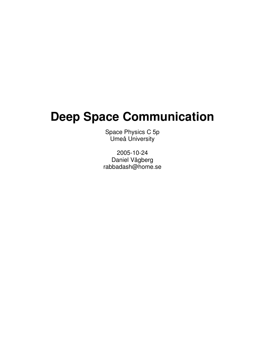## **Deep Space Communication**

Space Physics C 5p Umeå University

2005-10-24 Daniel Vågberg rabbadash@home.se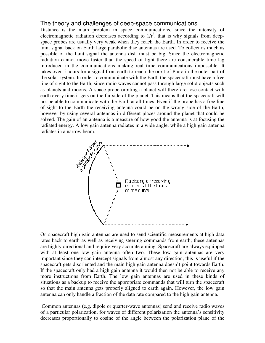## The theory and challenges of deep-space communications

Distance is the main problem in space communications, since the intensity of electromagnetic radiation decreases according to  $1/r^2$ , that is why signals from deepspace probes are usually very weak when they reach the Earth. In order to receive the faint signal back on Earth large parabolic disc antennas are used. To collect as much as possible of the faint signal the antenna dish must be big. Since the electromagnetic radiation cannot move faster than the speed of light there are considerable time lag introduced in the communications making real time communications impossible. It takes over 5 hours for a signal from earth to reach the orbit of Pluto in the outer part of the solar system. In order to communicate with the Earth the spacecraft must have a free line of sight to the Earth, since radio waves cannot pass through large solid objects such as planets and moons. A space probe orbiting a planet will therefore lose contact with earth every time it gets on the far side of the planet. This means that the spacecraft will not be able to communicate with the Earth at all times. Even if the probe has a free line of sight to the Earth the receiving antenna could be on the wrong side of the Earth, however by using several antennas in different places around the planet that could be solved. The gain of an antenna is a measure of how good the antenna is at focusing the radiated energy. A low gain antenna radiates in a wide angle, while a high gain antenna



On spacecraft high gain antennas are used to send scientific measurements at high data rates back to earth as well as receiving steering commands from earth; these antennas are highly directional and require very accurate aiming. Spacecraft are always equipped with at least one low gain antenna often two. These low gain antennas are very important since they can intercept signals from almost any direction, this is useful if the spacecraft gets disoriented and the main high gain antenna doesn't point towards Earth. If the spacecraft only had a high gain antenna it would then not be able to receive any more instructions from Earth. The low gain antennas are used in these kinds of situations as a backup to receive the appropriate commands that will turn the spacecraft so that the main antenna gets properly aligned to earth again. However, the low gain antenna can only handle a fraction of the data rate compared to the high gain antenna.

Common antennas (e.g. dipole or quarter-wave antennas) send and receive radio waves of a particular polarization, for waves of different polarization the antenna's sensitivity decreases proportionally to cosine of the angle between the polarization plane of the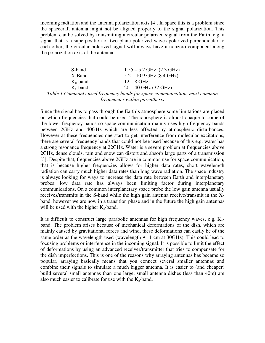incoming radiation and the antenna polarization axis [4]. In space this is a problem since the spacecraft antenna might not be aligned properly to the signal polarization. This problem can be solved by transmitting a circular polarized signal from the Earth, e.g. a signal that is a superposition of two plane polarized waves polarized perpendicular to each other, the circular polarized signal will always have a nonzero component along the polarization axis of the antenna.

| S-band        | $1.55 - 5.2$ GHz $(2.3$ GHz)                                               |
|---------------|----------------------------------------------------------------------------|
| X-Band        | $5.2 - 10.9$ GHz $(8.4$ GHz)                                               |
| $K_{u}$ -band | $12 - 8$ GHz                                                               |
| $K_a$ -band   | $20 - 40$ GHz (32 GHz)                                                     |
|               | Table 1 Commonly used frequency bands for space communication, most common |
|               | frequencies within parenthesis                                             |

Since the signal has to pass through the Earth's atmosphere some limitations are placed on which frequencies that could be used. The ionosphere is almost opaque to some of the lower frequency bands so space communication mainly uses high frequency bands between 2GHz and 40GHz which are less affected by atmospheric disturbances. However at these frequencies one start to get interference from molecular excitations, there are several frequency bands that could not bee used because of this e.g. water has a strong resonance frequency at 22GHz. Water is a severe problem at frequencies above 2GHz, dense clouds, rain and snow can distort and absorb large parts of a transmission [3]. Despite that, frequencies above 2GHz are in common use for space communication, that is because higher frequencies allows for higher data rates, short wavelength radiation can carry much higher data rates than long wave radiation. The space industry is always looking for ways to increase the data rate between Earth and interplanetary probes; low data rate has always been limiting factor during interplanetary communications. On a common interplanetary space probe the low gain antenna usually receives/transmits in the S-band while the high gain antenna receive/transmit in the Xband, however we are now in a transition phase and in the future the high gain antennas will be used with the higher  $K_a$ -band.

It is difficult to construct large parabolic antennas for high frequency waves, e.g.  $K_a$ band. The problem arises because of mechanical deformations of the dish, which are mainly caused by gravitational forces and wind, these deformations can easily be of the same order as the wavelength used (wavelength  $\bullet$  1 cm at 30GHz). This could lead to focusing problems or interference in the incoming signal. It is possible to limit the effect of deformations by using an advanced receiver/transmitter that tries to compensate for the dish imperfections. This is one of the reasons why arraying antennas has became so popular, arraying basically means that you connect several smaller antennas and combine their signals to simulate a much bigger antenna. It is easier to (and cheaper) build several small antennas than one large, small antenna dishes (less than 40m) are also much easier to calibrate for use with the  $K_a$ -band.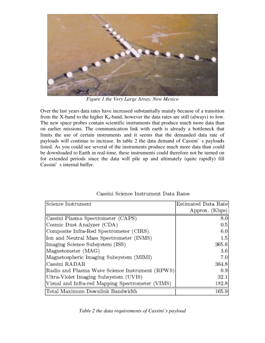

*Figure 1 the Very Large Array, New Mexico*

Over the last years data rates have increased substantially mainly because of a transition from the X-band to the higher  $K_a$ -band, however the data rates are still (always) to low. The new space probes contain scientific instruments that produce much more data than on earlier missions. The communication link with earth is already a bottleneck that limits the use of certain instruments and it seems that the demanded data rate of payloads will continue to increase. In table 2 the data demand of Cassini's payloadis listed. As you could see several of the instruments produce much more data than could be downloaded to Earth in real-time, these instruments could therefore not be turned on for extended periods since the data will pile up and ultimately (quite rapidly) fill Cassini's internal buffer.

| Science Instrument                               | Estimated Data Rate |
|--------------------------------------------------|---------------------|
|                                                  | Approx. (Kbps)      |
| Cassini Plasma Spectrometer (CAPS)               | 8.0                 |
| Cosmic Dust Analyzer (CDA)                       | 0.5                 |
| Composite Infra-Red Spectrometer (CIRS)          | 6.0                 |
| Ion and Neutral Mass Spectrometer (INMS)         | 1.5                 |
| Imaging Science Subsystem (ISS)                  | 365.6               |
| Magnetometer (MAG)                               | 3.6                 |
| Magnetospheric Imaging Subsystem (MIMI)          | 7.0                 |
| Cassini RADAR                                    | 364.8               |
| Radio and Plasma Wave Science Instrument (RPWS)  | 0.9                 |
| Ultra-Violet Imaging Subsystem (UVIS)            | 32.1                |
| Visual and Infra-red Mapping Spectrometer (VIMS) | 182.8               |
| Total Maximum Downlink Bandwidth                 | 165.9               |

## Cassini Science Instrument Data Rates

*Table 2 the data requirements of Cassini's payload*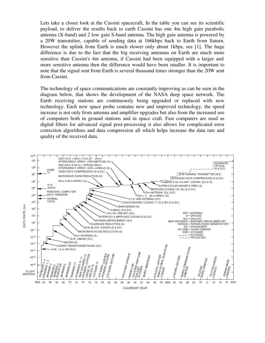Lets take a closer look at the Cassini spacecraft, In the table you can see its scientific payload, to deliver the results back to earth Cassini has one 4m high gain parabolic antenna (X-band) and 2 low gain S-band antenna. The high gain antenna is powered by a 20W transmitter, capable of sending data at 166kbps back to Earth from Saturn. However the uplink from Earth is much slower only about 1kbps, see [1]. The huge difference is due to the fact that the big receiving antennas on Earth are much more sensitive than Cassini's 4m antenna, if Cassini had been equipped with a larger and more sensitive antenna then the difference would have been smaller. It is important to note that the signal sent from Earth is several thousand times stronger than the 20W sent from Cassini.

The technology of space communications are constantly improving as can be seen in the diagram below, that shows the development of the NASA deep space network. The Earth receiving stations are continuously being upgraded or replaced with new technology. Each new space probe contains new and improved technology, the speed increase is not only from antenna and amplifier upgrades but also from the increased use of computers both in ground stations and in space craft. Fast computers are used as digital filters for advanced signal post-processing it also allows for complicated error correction algorithms and data compression all which helps increase the data rate and quality of the received data.